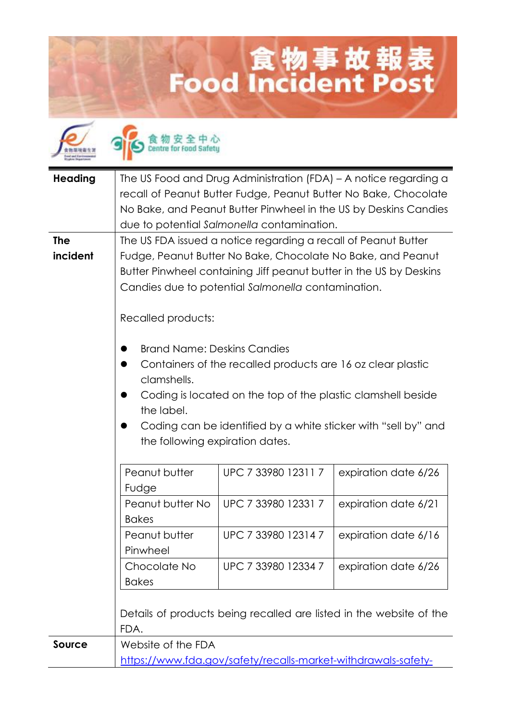## **Lood Incident Post**



食物安全中心

| <b>Heading</b> | The US Food and Drug Administration (FDA) - A notice regarding a   |                                                               |                                                                     |  |
|----------------|--------------------------------------------------------------------|---------------------------------------------------------------|---------------------------------------------------------------------|--|
|                | recall of Peanut Butter Fudge, Peanut Butter No Bake, Chocolate    |                                                               |                                                                     |  |
|                |                                                                    |                                                               | No Bake, and Peanut Butter Pinwheel in the US by Deskins Candies    |  |
|                |                                                                    | due to potential Salmonella contamination.                    |                                                                     |  |
| <b>The</b>     | The US FDA issued a notice regarding a recall of Peanut Butter     |                                                               |                                                                     |  |
| incident       | Fudge, Peanut Butter No Bake, Chocolate No Bake, and Peanut        |                                                               |                                                                     |  |
|                | Butter Pinwheel containing Jiff peanut butter in the US by Deskins |                                                               |                                                                     |  |
|                | Candies due to potential Salmonella contamination.                 |                                                               |                                                                     |  |
|                |                                                                    |                                                               |                                                                     |  |
|                | Recalled products:                                                 |                                                               |                                                                     |  |
|                |                                                                    |                                                               |                                                                     |  |
|                | <b>Brand Name: Deskins Candies</b>                                 |                                                               |                                                                     |  |
|                | Containers of the recalled products are 16 oz clear plastic        |                                                               |                                                                     |  |
|                | clamshells.                                                        |                                                               |                                                                     |  |
|                |                                                                    | Coding is located on the top of the plastic clamshell beside  |                                                                     |  |
|                | the label.                                                         |                                                               |                                                                     |  |
|                |                                                                    |                                                               | Coding can be identified by a white sticker with "sell by" and      |  |
|                | the following expiration dates.                                    |                                                               |                                                                     |  |
|                |                                                                    |                                                               |                                                                     |  |
|                | Peanut butter                                                      | UPC 7 33980 12311 7                                           | expiration date 6/26                                                |  |
|                | Fudge<br>Peanut butter No                                          | UPC 7 33980 12331 7                                           |                                                                     |  |
|                | <b>Bakes</b>                                                       |                                                               | expiration date 6/21                                                |  |
|                | Peanut butter                                                      | UPC 7 33980 12314 7                                           |                                                                     |  |
|                | Pinwheel                                                           |                                                               | expiration date 6/16                                                |  |
|                | Chocolate No                                                       | UPC 7 33980 12334 7                                           | expiration date 6/26                                                |  |
|                | <b>Bakes</b>                                                       |                                                               |                                                                     |  |
|                |                                                                    |                                                               |                                                                     |  |
|                |                                                                    |                                                               | Details of products being recalled are listed in the website of the |  |
|                | FDA.                                                               |                                                               |                                                                     |  |
| <b>Source</b>  | Website of the FDA                                                 |                                                               |                                                                     |  |
|                |                                                                    | https://www.fdg.gov/safety/recalls-market-withdrawals-safety- |                                                                     |  |